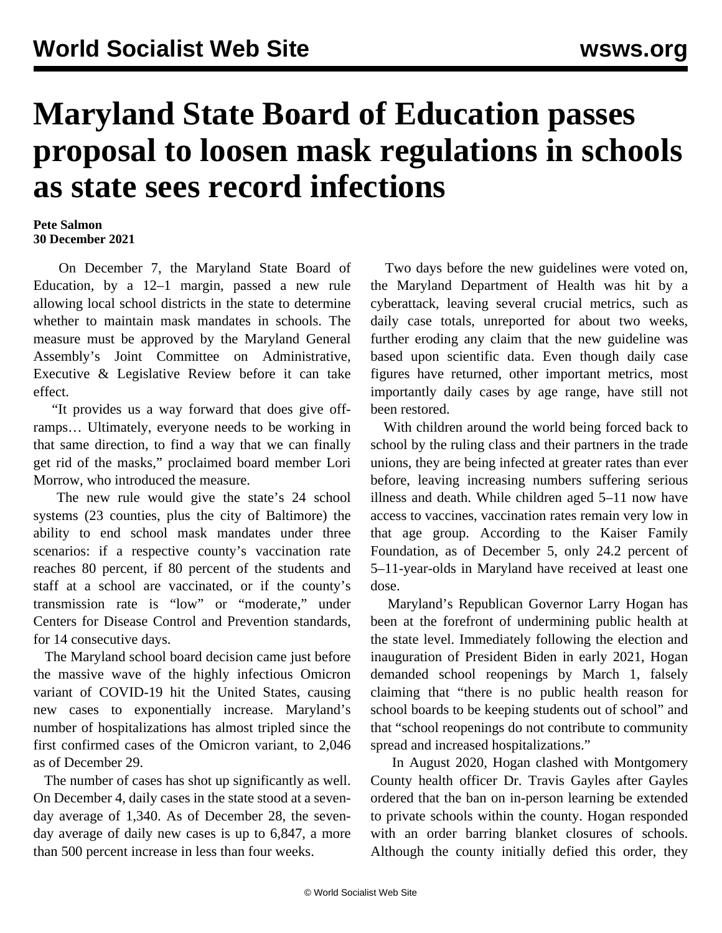## **Maryland State Board of Education passes proposal to loosen mask regulations in schools as state sees record infections**

## **Pete Salmon 30 December 2021**

 On December 7, the Maryland State Board of Education, by a 12–1 margin, passed a new rule allowing local school districts in the state to determine whether to maintain mask mandates in schools. The measure must be approved by the Maryland General Assembly's Joint Committee on Administrative, Executive & Legislative Review before it can take effect.

 "It provides us a way forward that does give offramps… Ultimately, everyone needs to be working in that same direction, to find a way that we can finally get rid of the masks," proclaimed board member Lori Morrow, who introduced the measure.

 The new rule would give the state's 24 school systems (23 counties, plus the city of Baltimore) the ability to end school mask mandates under three scenarios: if a respective county's vaccination rate reaches 80 percent, if 80 percent of the students and staff at a school are vaccinated, or if the county's transmission rate is "low" or "moderate," under Centers for Disease Control and Prevention standards, for 14 consecutive days.

 The Maryland school board decision came just before the massive wave of the highly infectious Omicron variant of COVID-19 hit the United States, causing new cases to exponentially increase. Maryland's number of hospitalizations has almost tripled since the first confirmed cases of the Omicron variant, to 2,046 as of December 29.

 The number of cases has shot up significantly as well. On December 4, daily cases in the state stood at a sevenday average of 1,340. As of December 28, the sevenday average of daily new cases is up to 6,847, a more than 500 percent increase in less than four weeks.

 Two days before the new guidelines were voted on, the Maryland Department of Health was hit by a cyberattack, leaving several crucial metrics, such as daily case totals, unreported for about two weeks, further eroding any claim that the new guideline was based upon scientific data. Even though daily case figures have returned, other important metrics, most importantly daily cases by age range, have still not been restored.

 With children around the world being forced back to school by the ruling class and their partners in the trade unions, they are being infected at greater rates than ever before, leaving increasing numbers suffering serious illness and death. While children aged 5–11 now have access to vaccines, vaccination rates remain very low in that age group. According to the Kaiser Family Foundation, as of December 5, only 24.2 percent of 5–11-year-olds in Maryland have received at least one dose.

 Maryland's Republican Governor Larry Hogan has been at the forefront of undermining public health at the state level. Immediately following the election and inauguration of President Biden in early 2021, Hogan demanded school reopenings by March 1, falsely claiming that "there is no public health reason for school boards to be keeping students out of school" and that "school reopenings do not contribute to community spread and increased hospitalizations."

 In August 2020, Hogan clashed with Montgomery County health officer Dr. Travis Gayles after Gayles ordered that the ban on in-person learning be extended to private schools within the county. Hogan responded with an [order](/en/articles/2020/08/20/mary-a20.html) barring blanket closures of schools. Although the county initially defied this order, they